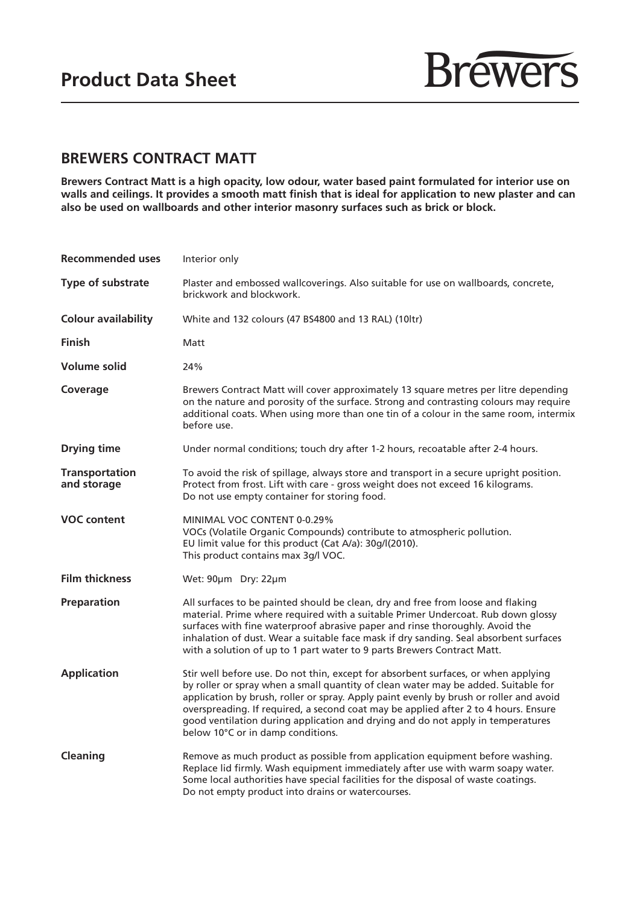

## **BREWERS CONTRACT MATT**

**Brewers Contract Matt is a high opacity, low odour, water based paint formulated for interior use on**  walls and ceilings. It provides a smooth matt finish that is ideal for application to new plaster and can **also be used on wallboards and other interior masonry surfaces such as brick or block.**

| <b>Recommended uses</b>              | Interior only                                                                                                                                                                                                                                                                                                                                                                                                                                                                     |
|--------------------------------------|-----------------------------------------------------------------------------------------------------------------------------------------------------------------------------------------------------------------------------------------------------------------------------------------------------------------------------------------------------------------------------------------------------------------------------------------------------------------------------------|
| Type of substrate                    | Plaster and embossed wallcoverings. Also suitable for use on wallboards, concrete,<br>brickwork and blockwork.                                                                                                                                                                                                                                                                                                                                                                    |
| <b>Colour availability</b>           | White and 132 colours (47 BS4800 and 13 RAL) (10ltr)                                                                                                                                                                                                                                                                                                                                                                                                                              |
| <b>Finish</b>                        | Matt                                                                                                                                                                                                                                                                                                                                                                                                                                                                              |
| Volume solid                         | 24%                                                                                                                                                                                                                                                                                                                                                                                                                                                                               |
| Coverage                             | Brewers Contract Matt will cover approximately 13 square metres per litre depending<br>on the nature and porosity of the surface. Strong and contrasting colours may require<br>additional coats. When using more than one tin of a colour in the same room, intermix<br>before use.                                                                                                                                                                                              |
| <b>Drying time</b>                   | Under normal conditions; touch dry after 1-2 hours, recoatable after 2-4 hours.                                                                                                                                                                                                                                                                                                                                                                                                   |
| <b>Transportation</b><br>and storage | To avoid the risk of spillage, always store and transport in a secure upright position.<br>Protect from frost. Lift with care - gross weight does not exceed 16 kilograms.<br>Do not use empty container for storing food.                                                                                                                                                                                                                                                        |
| <b>VOC content</b>                   | MINIMAL VOC CONTENT 0-0.29%<br>VOCs (Volatile Organic Compounds) contribute to atmospheric pollution.<br>EU limit value for this product (Cat A/a): 30g/l(2010).<br>This product contains max 3g/l VOC.                                                                                                                                                                                                                                                                           |
| <b>Film thickness</b>                | Wet: 90µm Dry: 22µm                                                                                                                                                                                                                                                                                                                                                                                                                                                               |
| Preparation                          | All surfaces to be painted should be clean, dry and free from loose and flaking<br>material. Prime where required with a suitable Primer Undercoat. Rub down glossy<br>surfaces with fine waterproof abrasive paper and rinse thoroughly. Avoid the<br>inhalation of dust. Wear a suitable face mask if dry sanding. Seal absorbent surfaces<br>with a solution of up to 1 part water to 9 parts Brewers Contract Matt.                                                           |
| <b>Application</b>                   | Stir well before use. Do not thin, except for absorbent surfaces, or when applying<br>by roller or spray when a small quantity of clean water may be added. Suitable for<br>application by brush, roller or spray. Apply paint evenly by brush or roller and avoid<br>overspreading. If required, a second coat may be applied after 2 to 4 hours. Ensure<br>good ventilation during application and drying and do not apply in temperatures<br>below 10°C or in damp conditions. |
| Cleaning                             | Remove as much product as possible from application equipment before washing.<br>Replace lid firmly. Wash equipment immediately after use with warm soapy water.<br>Some local authorities have special facilities for the disposal of waste coatings.<br>Do not empty product into drains or watercourses.                                                                                                                                                                       |